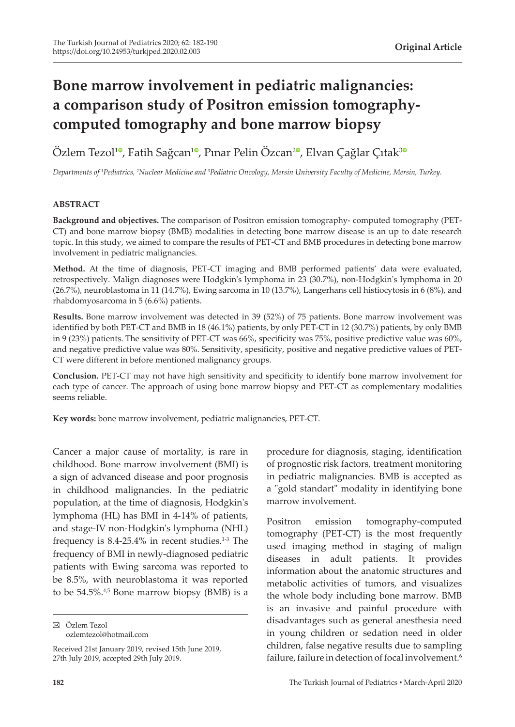# **Bone marrow involvement in pediatric malignancies: a comparison study of Positron emission tomographycomputed tomography and bone marrow biopsy**

Özlem Tezol<sup>10</sup>[,](https://orcid.org/0000-0003-0147-2678) Fatih Sağcan<sup>[1](https://orcid.org/0000-0002-4788-3256)0</sup>, Pınar Pelin Özcan<sup>20</sup>, Elvan Çağlar Çıtak<sup>[3](https://orcid.org/0000-0003-1451-1373)0</sup>

Departments of <sup>1</sup>Pediatrics, <sup>2</sup>Nuclear Medicine and <sup>3</sup>Pediatric Oncology, Mersin University Faculty of Medicine, Mersin, Turkey.

### **ABSTRACT**

**Background and objectives.** The comparison of Positron emission tomography- computed tomography (PET-CT) and bone marrow biopsy (BMB) modalities in detecting bone marrow disease is an up to date research topic. In this study, we aimed to compare the results of PET-CT and BMB procedures in detecting bone marrow involvement in pediatric malignancies.

**Method.** At the time of diagnosis, PET-CT imaging and BMB performed patients' data were evaluated, retrospectively. Malign diagnoses were Hodgkin's lymphoma in 23 (30.7%), non-Hodgkin's lymphoma in 20 (26.7%), neuroblastoma in 11 (14.7%), Ewing sarcoma in 10 (13.7%), Langerhans cell histiocytosis in 6 (8%), and rhabdomyosarcoma in 5 (6.6%) patients.

**Results.** Bone marrow involvement was detected in 39 (52%) of 75 patients. Bone marrow involvement was identified by both PET-CT and BMB in 18 (46.1%) patients, by only PET-CT in 12 (30.7%) patients, by only BMB in 9 (23%) patients. The sensitivity of PET-CT was 66%, specificity was 75%, positive predictive value was 60%, and negative predictive value was 80%. Sensitivity, spesificity, positive and negative predictive values of PET-CT were different in before mentioned malignancy groups.

**Conclusion.** PET-CT may not have high sensitivity and specificity to identify bone marrow involvement for each type of cancer. The approach of using bone marrow biopsy and PET-CT as complementary modalities seems reliable.

**Key words:** bone marrow involvement, pediatric malignancies, PET-CT.

Cancer a major cause of mortality, is rare in childhood. Bone marrow involvement (BMI) is a sign of advanced disease and poor prognosis in childhood malignancies. In the pediatric population, at the time of diagnosis, Hodgkin's lymphoma (HL) has BMI in 4-14% of patients, and stage-IV non-Hodgkin's lymphoma (NHL) frequency is  $8.4$ -25.4% in recent studies.<sup>1-3</sup> The frequency of BMI in newly-diagnosed pediatric patients with Ewing sarcoma was reported to be 8.5%, with neuroblastoma it was reported to be  $54.5\%$ .<sup>4,5</sup> Bone marrow biopsy (BMB) is a

Özlem Tezol ozlemtezol@hotmail.com

Received 21st January 2019, revised 15th June 2019, 27th July 2019, accepted 29th July 2019.

procedure for diagnosis, staging, identification of prognostic risk factors, treatment monitoring in pediatric malignancies. BMB is accepted as a "gold standart" modality in identifying bone marrow involvement.

Positron emission tomography-computed tomography (PET-CT) is the most frequently used imaging method in staging of malign diseases in adult patients. It provides information about the anatomic structures and metabolic activities of tumors, and visualizes the whole body including bone marrow. BMB is an invasive and painful procedure with disadvantages such as general anesthesia need in young children or sedation need in older children, false negative results due to sampling failure, failure in detection of focal involvement.<sup>6</sup>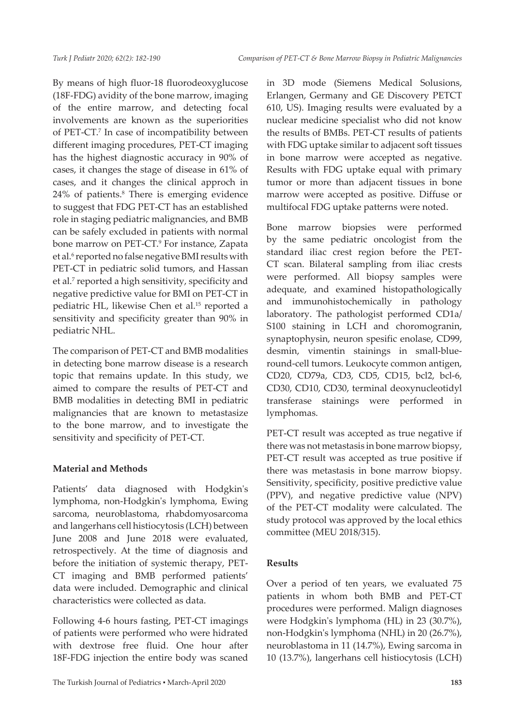By means of high fluor-18 fluorodeoxyglucose (18F-FDG) avidity of the bone marrow, imaging of the entire marrow, and detecting focal involvements are known as the superiorities of PET-CT.7 In case of incompatibility between different imaging procedures, PET-CT imaging has the highest diagnostic accuracy in 90% of cases, it changes the stage of disease in 61% of cases, and it changes the clinical approch in 24% of patients.<sup>8</sup> There is emerging evidence to suggest that FDG PET-CT has an established role in staging pediatric malignancies, and BMB can be safely excluded in patients with normal bone marrow on PET-CT.<sup>9</sup> For instance, Zapata et al.<sup>6</sup> reported no false negative BMI results with PET-CT in pediatric solid tumors, and Hassan et al.<sup>7</sup> reported a high sensitivity, specificity and negative predictive value for BMI on PET-CT in pediatric HL, likewise Chen et al.15 reported a sensitivity and specificity greater than 90% in pediatric NHL.

The comparison of PET-CT and BMB modalities in detecting bone marrow disease is a research topic that remains update. In this study, we aimed to compare the results of PET-CT and BMB modalities in detecting BMI in pediatric malignancies that are known to metastasize to the bone marrow, and to investigate the sensitivity and specificity of PET-CT.

## **Material and Methods**

Patients' data diagnosed with Hodgkin's lymphoma, non-Hodgkin's lymphoma, Ewing sarcoma, neuroblastoma, rhabdomyosarcoma and langerhans cell histiocytosis (LCH) between June 2008 and June 2018 were evaluated, retrospectively. At the time of diagnosis and before the initiation of systemic therapy, PET-CT imaging and BMB performed patients' data were included. Demographic and clinical characteristics were collected as data.

Following 4-6 hours fasting, PET-CT imagings of patients were performed who were hidrated with dextrose free fluid. One hour after 18F-FDG injection the entire body was scaned in 3D mode (Siemens Medical Solusions, Erlangen, Germany and GE Discovery PETCT 610, US). Imaging results were evaluated by a nuclear medicine specialist who did not know the results of BMBs. PET-CT results of patients with FDG uptake similar to adjacent soft tissues in bone marrow were accepted as negative. Results with FDG uptake equal with primary tumor or more than adjacent tissues in bone marrow were accepted as positive. Diffuse or multifocal FDG uptake patterns were noted.

Bone marrow biopsies were performed by the same pediatric oncologist from the standard iliac crest region before the PET-CT scan. Bilateral sampling from iliac crests were performed. All biopsy samples were adequate, and examined histopathologically and immunohistochemically in pathology laboratory. The pathologist performed CD1a/ S100 staining in LCH and choromogranin, synaptophysin, neuron spesific enolase, CD99, desmin, vimentin stainings in small-blueround-cell tumors. Leukocyte common antigen, CD20, CD79a, CD3, CD5, CD15, bcl2, bcl-6, CD30, CD10, CD30, terminal deoxynucleotidyl transferase stainings were performed in lymphomas.

PET-CT result was accepted as true negative if there was not metastasis in bone marrow biopsy, PET-CT result was accepted as true positive if there was metastasis in bone marrow biopsy. Sensitivity, specificity, positive predictive value (PPV), and negative predictive value (NPV) of the PET-CT modality were calculated. The study protocol was approved by the local ethics committee (MEU 2018/315).

## **Results**

Over a period of ten years, we evaluated 75 patients in whom both BMB and PET-CT procedures were performed. Malign diagnoses were Hodgkin's lymphoma (HL) in 23 (30.7%), non-Hodgkin's lymphoma (NHL) in 20 (26.7%), neuroblastoma in 11 (14.7%), Ewing sarcoma in 10 (13.7%), langerhans cell histiocytosis (LCH)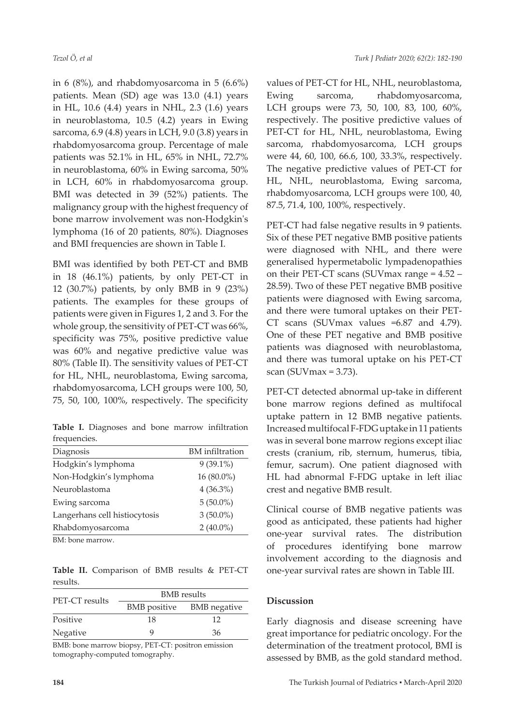in  $6$  (8%), and rhabdomyosarcoma in  $5$  (6.6%) patients. Mean (SD) age was 13.0 (4.1) years in HL, 10.6 (4.4) years in NHL, 2.3 (1.6) years in neuroblastoma, 10.5 (4.2) years in Ewing sarcoma, 6.9 (4.8) years in LCH, 9.0 (3.8) years in rhabdomyosarcoma group. Percentage of male patients was 52.1% in HL, 65% in NHL, 72.7% in neuroblastoma, 60% in Ewing sarcoma, 50% in LCH, 60% in rhabdomyosarcoma group. BMI was detected in 39 (52%) patients. The malignancy group with the highest frequency of bone marrow involvement was non-Hodgkin's lymphoma (16 of 20 patients, 80%). Diagnoses and BMI frequencies are shown in Table I.

BMI was identified by both PET-CT and BMB in 18 (46.1%) patients, by only PET-CT in 12 (30.7%) patients, by only BMB in 9 (23%) patients. The examples for these groups of patients were given in Figures 1, 2 and 3. For the whole group, the sensitivity of PET-CT was 66%, specificity was 75%, positive predictive value was 60% and negative predictive value was 80% (Table II). The sensitivity values of PET-CT for HL, NHL, neuroblastoma, Ewing sarcoma, rhabdomyosarcoma, LCH groups were 100, 50, 75, 50, 100, 100%, respectively. The specificity

**Table I.** Diagnoses and bone marrow infiltration frequencies.

| Diagnosis                     | <b>BM</b> infiltration |
|-------------------------------|------------------------|
| Hodgkin's lymphoma            | $9(39.1\%)$            |
| Non-Hodgkin's lymphoma        | 16 (80.0%)             |
| Neuroblastoma                 | $4(36.3\%)$            |
| Ewing sarcoma                 | $5(50.0\%)$            |
| Langerhans cell histiocytosis | $3(50.0\%)$            |
| Rhabdomyosarcoma              | $2(40.0\%)$            |
| $DML$ and mountain            |                        |

BM: bone marrow.

**Table II.** Comparison of BMB results & PET-CT results.

| <b>PET-CT</b> results | <b>BMB</b> results |                           |  |  |
|-----------------------|--------------------|---------------------------|--|--|
|                       |                    | BMB positive BMB negative |  |  |
| Positive              | 18                 | 12                        |  |  |
| Negative              | g                  | 36                        |  |  |

BMB: bone marrow biopsy, PET-CT: positron emission tomography-computed tomography.

values of PET-CT for HL, NHL, neuroblastoma, Ewing sarcoma, rhabdomyosarcoma, LCH groups were 73, 50, 100, 83, 100, 60%, respectively. The positive predictive values of PET-CT for HL, NHL, neuroblastoma, Ewing sarcoma, rhabdomyosarcoma, LCH groups were 44, 60, 100, 66.6, 100, 33.3%, respectively. The negative predictive values of PET-CT for HL, NHL, neuroblastoma, Ewing sarcoma, rhabdomyosarcoma, LCH groups were 100, 40, 87.5, 71.4, 100, 100%, respectively.

PET-CT had false negative results in 9 patients. Six of these PET negative BMB positive patients were diagnosed with NHL, and there were generalised hypermetabolic lympadenopathies on their PET-CT scans (SUVmax range = 4.52 – 28.59). Two of these PET negative BMB positive patients were diagnosed with Ewing sarcoma, and there were tumoral uptakes on their PET-CT scans (SUVmax values =6.87 and 4.79). One of these PET negative and BMB positive patients was diagnosed with neuroblastoma, and there was tumoral uptake on his PET-CT scan (SUVmax = 3.73).

PET-CT detected abnormal up-take in different bone marrow regions defined as multifocal uptake pattern in 12 BMB negative patients. Increased multifocal F-FDG uptake in 11 patients was in several bone marrow regions except iliac crests (cranium, rib, sternum, humerus, tibia, femur, sacrum). One patient diagnosed with HL had abnormal F-FDG uptake in left iliac crest and negative BMB result.

Clinical course of BMB negative patients was good as anticipated, these patients had higher one-year survival rates. The distribution of procedures identifying bone marrow involvement according to the diagnosis and one-year survival rates are shown in Table III.

#### **Discussion**

Early diagnosis and disease screening have great importance for pediatric oncology. For the determination of the treatment protocol, BMI is assessed by BMB, as the gold standard method.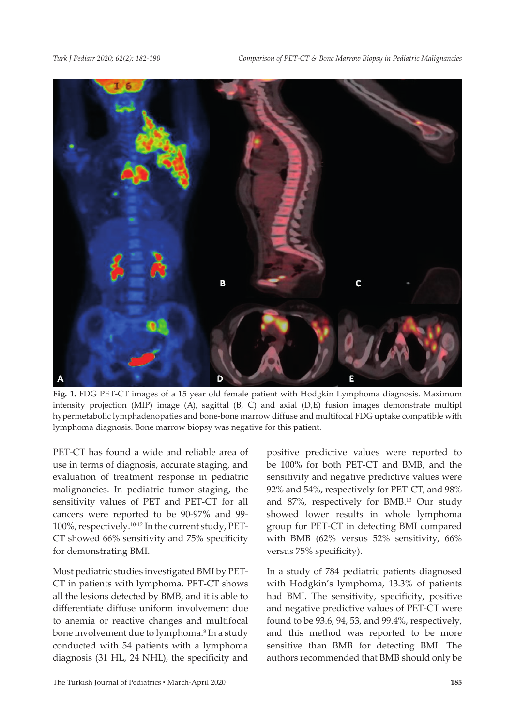

**Fig. 1.** FDG PET-CT images of a 15 year old female patient with Hodgkin Lymphoma diagnosis. Maximum intensity projection (MIP) image (A), sagittal (B, C) and axial (D,E) fusion images demonstrate multipl hypermetabolic lymphadenopaties and bone-bone marrow diffuse and multifocal FDG uptake compatible with lymphoma diagnosis. Bone marrow biopsy was negative for this patient.

PET-CT has found a wide and reliable area of use in terms of diagnosis, accurate staging, and evaluation of treatment response in pediatric malignancies. In pediatric tumor staging, the sensitivity values of PET and PET-CT for all cancers were reported to be 90-97% and 99- 100%, respectively.10-12 In the current study, PET-CT showed 66% sensitivity and 75% specificity for demonstrating BMI.

Most pediatric studies investigated BMI by PET-CT in patients with lymphoma. PET-CT shows all the lesions detected by BMB, and it is able to differentiate diffuse uniform involvement due to anemia or reactive changes and multifocal bone involvement due to lymphoma.<sup>8</sup> In a study conducted with 54 patients with a lymphoma diagnosis (31 HL, 24 NHL), the specificity and

positive predictive values were reported to be 100% for both PET-CT and BMB, and the sensitivity and negative predictive values were 92% and 54%, respectively for PET-CT, and 98% and 87%, respectively for BMB.13 Our study showed lower results in whole lymphoma group for PET-CT in detecting BMI compared with BMB (62% versus 52% sensitivity, 66% versus 75% specificity).

In a study of 784 pediatric patients diagnosed with Hodgkin's lymphoma, 13.3% of patients had BMI. The sensitivity, specificity, positive and negative predictive values of PET-CT were found to be 93.6, 94, 53, and 99.4%, respectively, and this method was reported to be more sensitive than BMB for detecting BMI. The authors recommended that BMB should only be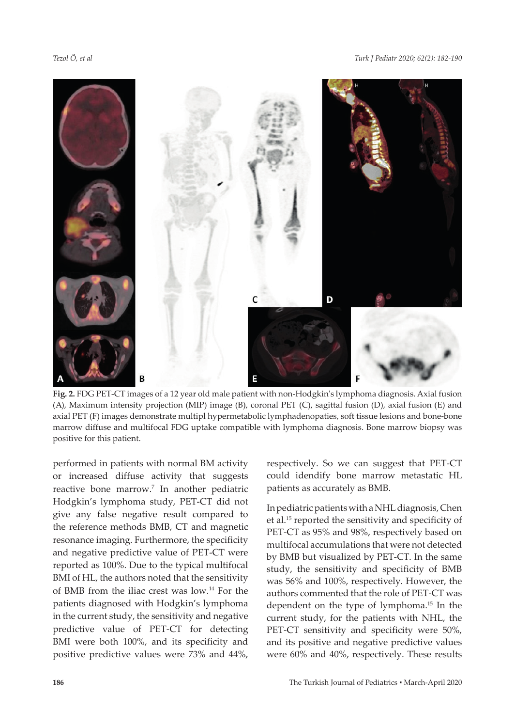

**Fig. 2.** FDG PET-CT images of a 12 year old male patient with non-Hodgkin's lymphoma diagnosis. Axial fusion (A), Maximum intensity projection (MIP) image (B), coronal PET (C), sagittal fusion (D), axial fusion (E) and axial PET (F) images demonstrate multipl hypermetabolic lymphadenopaties, soft tissue lesions and bone-bone marrow diffuse and multifocal FDG uptake compatible with lymphoma diagnosis. Bone marrow biopsy was positive for this patient.

performed in patients with normal BM activity or increased diffuse activity that suggests reactive bone marrow.7 In another pediatric Hodgkin's lymphoma study, PET-CT did not give any false negative result compared to the reference methods BMB, CT and magnetic resonance imaging. Furthermore, the specificity and negative predictive value of PET-CT were reported as 100%. Due to the typical multifocal BMI of HL, the authors noted that the sensitivity of BMB from the iliac crest was low.14 For the patients diagnosed with Hodgkin's lymphoma in the current study, the sensitivity and negative predictive value of PET-CT for detecting BMI were both 100%, and its specificity and positive predictive values were 73% and 44%,

respectively. So we can suggest that PET-CT could idendify bone marrow metastatic HL patients as accurately as BMB.

In pediatric patients with a NHL diagnosis, Chen et al.<sup>15</sup> reported the sensitivity and specificity of PET-CT as 95% and 98%, respectively based on multifocal accumulations that were not detected by BMB but visualized by PET-CT. In the same study, the sensitivity and specificity of BMB was 56% and 100%, respectively. However, the authors commented that the role of PET-CT was dependent on the type of lymphoma.15 In the current study, for the patients with NHL, the PET-CT sensitivity and specificity were 50%, and its positive and negative predictive values were 60% and 40%, respectively. These results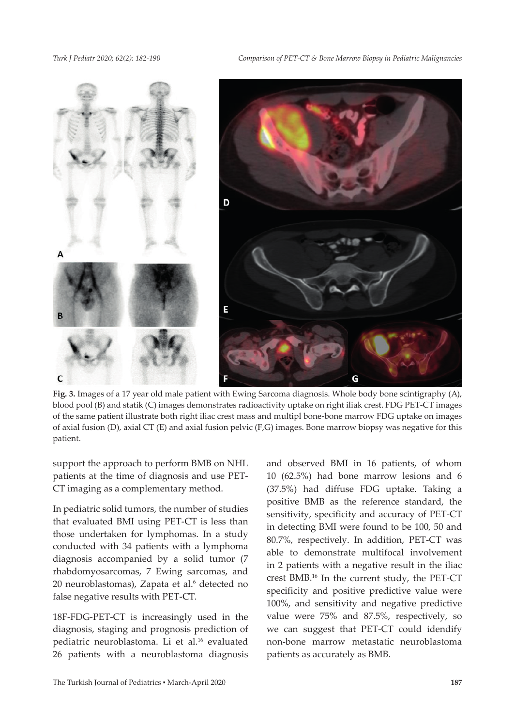

**Fig. 3.** Images of a 17 year old male patient with Ewing Sarcoma diagnosis. Whole body bone scintigraphy (A), blood pool (B) and statik (C) images demonstrates radioactivity uptake on right iliak crest. FDG PET-CT images of the same patient illustrate both right iliac crest mass and multipl bone-bone marrow FDG uptake on images of axial fusion (D), axial CT (E) and axial fusion pelvic (F,G) images. Bone marrow biopsy was negative for this patient.

support the approach to perform BMB on NHL patients at the time of diagnosis and use PET-CT imaging as a complementary method.

In pediatric solid tumors, the number of studies that evaluated BMI using PET-CT is less than those undertaken for lymphomas. In a study conducted with 34 patients with a lymphoma diagnosis accompanied by a solid tumor (7 rhabdomyosarcomas, 7 Ewing sarcomas, and 20 neuroblastomas), Zapata et al.<sup>6</sup> detected no false negative results with PET-CT.

18F-FDG-PET-CT is increasingly used in the diagnosis, staging and prognosis prediction of pediatric neuroblastoma. Li et al.16 evaluated 26 patients with a neuroblastoma diagnosis

and observed BMI in 16 patients, of whom 10 (62.5%) had bone marrow lesions and 6 (37.5%) had diffuse FDG uptake. Taking a positive BMB as the reference standard, the sensitivity, specificity and accuracy of PET-CT in detecting BMI were found to be 100, 50 and 80.7%, respectively. In addition, PET-CT was able to demonstrate multifocal involvement in 2 patients with a negative result in the iliac crest BMB.16 In the current study, the PET-CT specificity and positive predictive value were 100%, and sensitivity and negative predictive value were 75% and 87.5%, respectively, so we can suggest that PET-CT could idendify non-bone marrow metastatic neuroblastoma patients as accurately as BMB.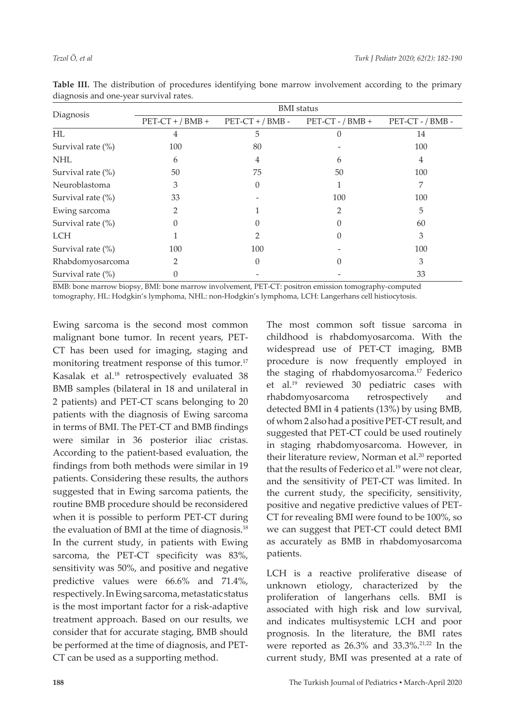| Diagnosis            | <b>BMI</b> status  |                    |                    |                  |  |
|----------------------|--------------------|--------------------|--------------------|------------------|--|
|                      | $PET-CT$ + / BMB + | $PET-CT$ + / BMB - | $PET-CT - / BMB +$ | PET-CT - / BMB - |  |
| HL                   | 4                  | 5                  |                    | 14               |  |
| Survival rate $(\%)$ | 100                | 80                 |                    | 100              |  |
| <b>NHL</b>           | 6                  | 4                  | 6                  | 4                |  |
| Survival rate $(\%)$ | 50                 | 75                 | 50                 | 100              |  |
| Neuroblastoma        | 3                  | 0                  |                    | 7                |  |
| Survival rate $(\%)$ | 33                 |                    | 100                | 100              |  |
| Ewing sarcoma        | 2                  |                    |                    | 5                |  |
| Survival rate (%)    | $\Omega$           |                    | 0                  | 60               |  |
| <b>LCH</b>           |                    |                    |                    | 3                |  |
| Survival rate $(\%)$ | 100                | 100                |                    | 100              |  |
| Rhabdomyosarcoma     | $\overline{2}$     |                    |                    | 3                |  |
| Survival rate (%)    |                    |                    |                    | 33               |  |
|                      |                    |                    |                    |                  |  |

**Table III.** The distribution of procedures identifying bone marrow involvement according to the primary diagnosis and one-year survival rates.

BMB: bone marrow biopsy, BMI: bone marrow involvement, PET-CT: positron emission tomography-computed tomography, HL: Hodgkin's lymphoma, NHL: non-Hodgkin's lymphoma, LCH: Langerhans cell histiocytosis.

Ewing sarcoma is the second most common malignant bone tumor. In recent years, PET-CT has been used for imaging, staging and monitoring treatment response of this tumor.<sup>17</sup> Kasalak et al.<sup>18</sup> retrospectively evaluated 38 BMB samples (bilateral in 18 and unilateral in 2 patients) and PET-CT scans belonging to 20 patients with the diagnosis of Ewing sarcoma in terms of BMI. The PET-CT and BMB findings were similar in 36 posterior iliac cristas. According to the patient-based evaluation, the findings from both methods were similar in 19 patients. Considering these results, the authors suggested that in Ewing sarcoma patients, the routine BMB procedure should be reconsidered when it is possible to perform PET-CT during the evaluation of BMI at the time of diagnosis.<sup>18</sup> In the current study, in patients with Ewing sarcoma, the PET-CT specificity was 83%, sensitivity was 50%, and positive and negative predictive values were 66.6% and 71.4%, respectively. In Ewing sarcoma, metastatic status is the most important factor for a risk-adaptive treatment approach. Based on our results, we consider that for accurate staging, BMB should be performed at the time of diagnosis, and PET-CT can be used as a supporting method.

The most common soft tissue sarcoma in childhood is rhabdomyosarcoma. With the widespread use of PET-CT imaging, BMB procedure is now frequently employed in the staging of rhabdomyosarcoma.17 Federico et al.19 reviewed 30 pediatric cases with rhabdomyosarcoma retrospectively and detected BMI in 4 patients (13%) by using BMB, of whom 2 also had a positive PET-CT result, and suggested that PET-CT could be used routinely in staging rhabdomyosarcoma. However, in their literature review, Norman et al.<sup>20</sup> reported that the results of Federico et al.<sup>19</sup> were not clear, and the sensitivity of PET-CT was limited. In the current study, the specificity, sensitivity, positive and negative predictive values of PET-CT for revealing BMI were found to be 100%, so we can suggest that PET-CT could detect BMI as accurately as BMB in rhabdomyosarcoma patients.

LCH is a reactive proliferative disease of unknown etiology, characterized by the proliferation of langerhans cells. BMI is associated with high risk and low survival, and indicates multisystemic LCH and poor prognosis. In the literature, the BMI rates were reported as  $26.3\%$  and  $33.3\%$ .<sup>21,22</sup> In the current study, BMI was presented at a rate of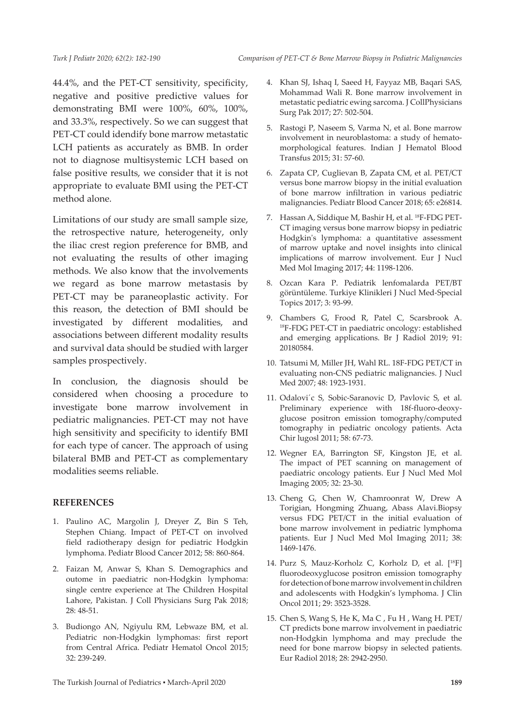44.4%, and the PET-CT sensitivity, specificity, negative and positive predictive values for demonstrating BMI were 100%, 60%, 100%, and 33.3%, respectively. So we can suggest that PET-CT could idendify bone marrow metastatic LCH patients as accurately as BMB. In order not to diagnose multisystemic LCH based on false positive results, we consider that it is not appropriate to evaluate BMI using the PET-CT method alone.

Limitations of our study are small sample size, the retrospective nature, heterogeneity, only the iliac crest region preference for BMB, and not evaluating the results of other imaging methods. We also know that the involvements we regard as bone marrow metastasis by PET-CT may be paraneoplastic activity. For this reason, the detection of BMI should be investigated by different modalities, and associations between different modality results and survival data should be studied with larger samples prospectively.

In conclusion, the diagnosis should be considered when choosing a procedure to investigate bone marrow involvement in pediatric malignancies. PET-CT may not have high sensitivity and specificity to identify BMI for each type of cancer. The approach of using bilateral BMB and PET-CT as complementary modalities seems reliable.

#### **REFERENCES**

- 1. Paulino AC, Margolin J, Dreyer Z, Bin S Teh, Stephen Chiang. Impact of PET-CT on involved field radiotherapy design for pediatric Hodgkin lymphoma. Pediatr Blood Cancer 2012; 58: 860-864.
- 2. Faizan M, Anwar S, Khan S. Demographics and outome in paediatric non-Hodgkin lymphoma: single centre experience at The Children Hospital Lahore, Pakistan. J Coll Physicians Surg Pak 2018; 28: 48-51.
- 3. Budiongo AN, Ngiyulu RM, Lebwaze BM, et al. Pediatric non-Hodgkin lymphomas: first report from Central Africa. Pediatr Hematol Oncol 2015; 32: 239-249.
- 4. Khan SJ, Ishaq I, Saeed H, Fayyaz MB, Baqari SAS, Mohammad Wali R. Bone marrow involvement in metastatic pediatric ewing sarcoma. J CollPhysicians Surg Pak 2017; 27: 502-504.
- 5. Rastogi P, Naseem S, Varma N, et al. Bone marrow involvement in neuroblastoma: a study of hematomorphological features. Indian J Hematol Blood Transfus 2015; 31: 57-60.
- 6. Zapata CP, Cuglievan B, Zapata CM, et al. PET/CT versus bone marrow biopsy in the initial evaluation of bone marrow infiltration in various pediatric malignancies. Pediatr Blood Cancer 2018; 65: e26814.
- 7. Hassan A, Siddique M, Bashir H, et al. 18F-FDG PET-CT imaging versus bone marrow biopsy in pediatric Hodgkin's lymphoma: a quantitative assessment of marrow uptake and novel insights into clinical implications of marrow involvement. Eur J Nucl Med Mol Imaging 2017; 44: 1198-1206.
- 8. Ozcan Kara P. Pediatrik lenfomalarda PET/BT görüntüleme. Turkiye Klinikleri J Nucl Med-Special Topics 2017; 3: 93-99.
- 9. Chambers G, Frood R, Patel C, Scarsbrook A. 18F-FDG PET-CT in paediatric oncology: established and emerging applications. Br J Radiol 2019; 91: 20180584.
- 10. Tatsumi M, Miller JH, Wahl RL. 18F-FDG PET/CT in evaluating non-CNS pediatric malignancies. J Nucl Med 2007; 48: 1923-1931.
- 11. Odalovi´c S, Sobic-Saranovic D, Pavlovic S, et al. Preliminary experience with 18f-fluoro-deoxyglucose positron emission tomography/computed tomography in pediatric oncology patients. Acta Chir lugosl 2011; 58: 67-73.
- 12. Wegner EA, Barrington SF, Kingston JE, et al. The impact of PET scanning on management of paediatric oncology patients. Eur J Nucl Med Mol Imaging 2005; 32: 23-30.
- 13. Cheng G, Chen W, Chamroonrat W, Drew A Torigian, Hongming Zhuang, Abass Alavi.Biopsy versus FDG PET/CT in the initial evaluation of bone marrow involvement in pediatric lymphoma patients. Eur J Nucl Med Mol Imaging 2011; 38: 1469-1476.
- 14. Purz S, Mauz-Korholz C, Korholz D, et al. [18F] fluorodeoxyglucose positron emission tomography for detection of bone marrow involvement in children and adolescents with Hodgkin's lymphoma. J Clin Oncol 2011; 29: 3523-3528.
- 15. Chen S, Wang S, He K, Ma C , Fu H , Wang H. PET/ CT predicts bone marrow involvement in paediatric non-Hodgkin lymphoma and may preclude the need for bone marrow biopsy in selected patients. Eur Radiol 2018; 28: 2942-2950.